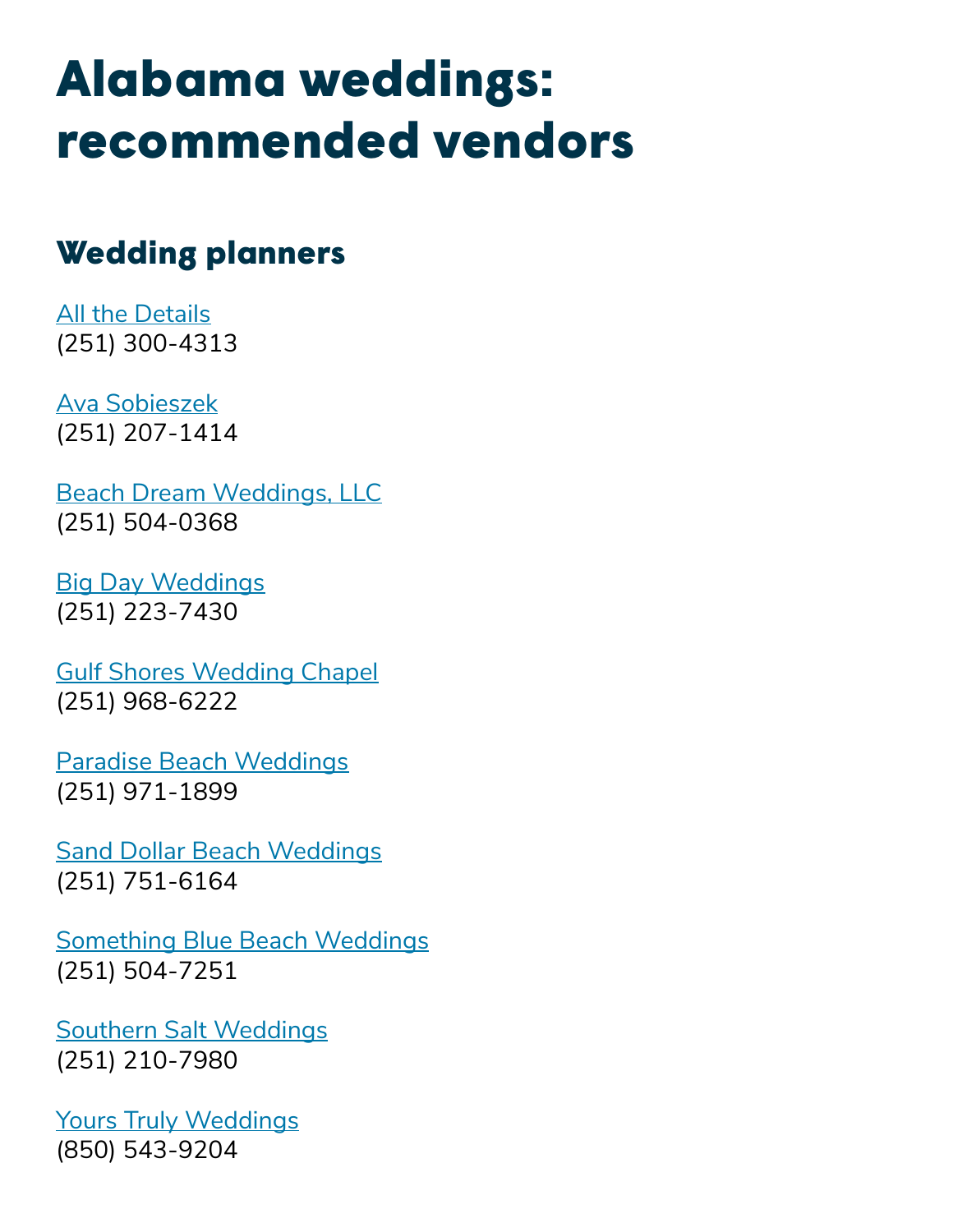# Alabama weddings: recommended vendors

## Wedding planners

**[All the Details](http://dreamybeachweddings.com/)** (251) 300-4313

[Ava Sobieszek](http://www.aflowerbox.com/) (251) 207-1414

[Beach Dream Weddings, LLC](https://www.alabamabeachwedding.com/) (251) 504-0368

[Big Day Weddings](https://www.orangebeachgulfshoresweddings.com/) (251) 223-7430

[Gulf Shores Wedding Chapel](http://gulfshoresweddingchapel.com/) (251) 968-6222

[Paradise Beach Weddings](http://paradisebeachweddings.com/) (251) 971-1899

[Sand Dollar Beach Weddings](http://www.sanddollarbeachweddings.com/) (251) 751-6164

[Something Blue Beach Weddings](https://www.facebook.com/SomethingBlueBeachWeddings/) (251) 504-7251

[Southern Salt Weddings](https://www.southernsaltweddings.com/) (251) 210-7980

[Yours Truly Weddings](https://yourstrulyweddings.com/) (850) 543-9204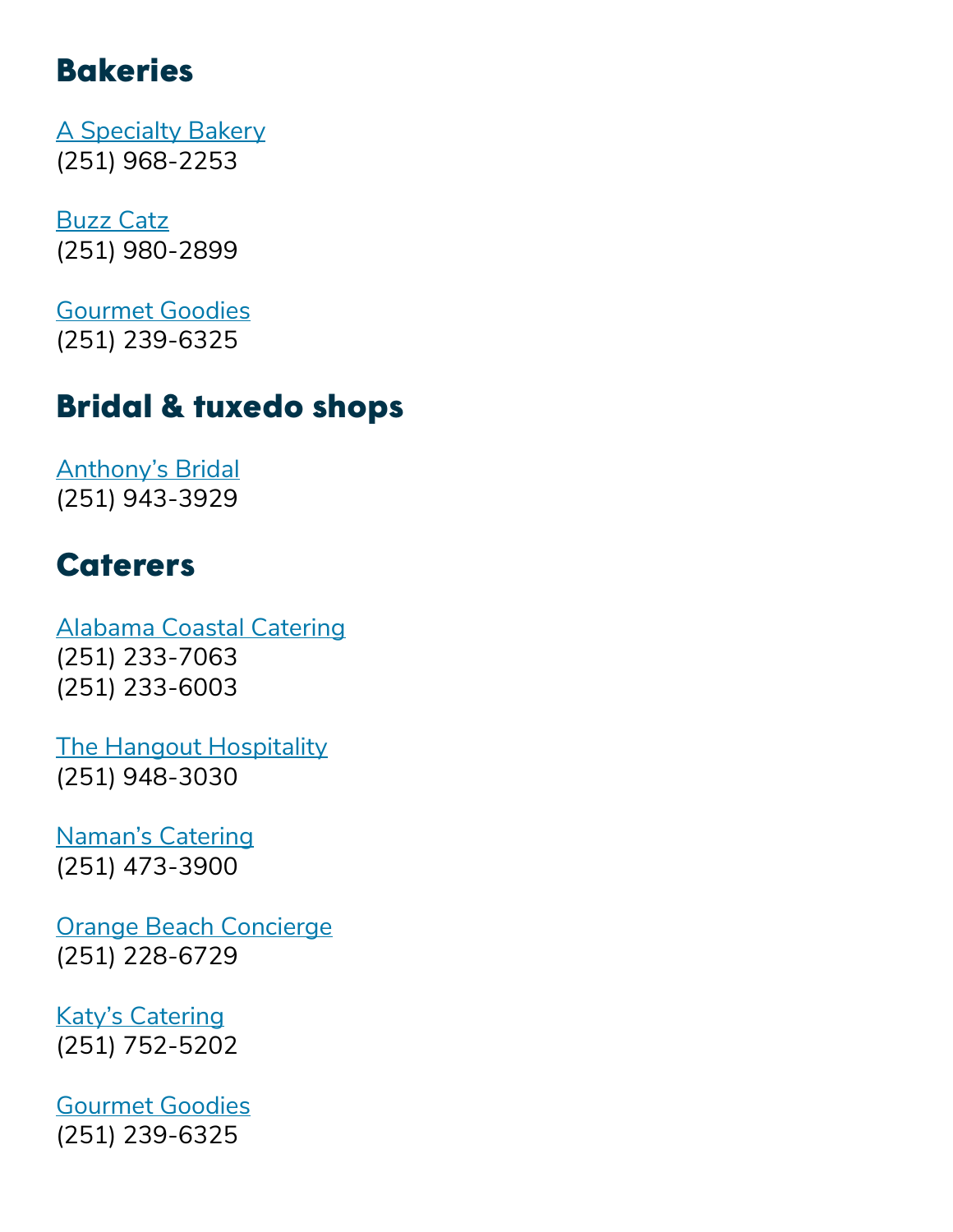## **Bakeries**

[A Specialty Bakery](https://www.facebook.com/A-Specialty-Bakery-209752205701875/) (251) 968-2253

[Buzz Catz](http://www.buzzcatzcoffeeandsweets.com/) (251) 980-2899

[Gourmet Goodies](https://gourmetgoodiesdaphne.blogspot.com/) (251) 239-6325

#### Bridal & tuxedo shops

[Anthony's Bridal](http://www.anthonysbridalandtuxedo.com/) (251) 943-3929

## **Caterers**

[Alabama Coastal Catering](http://alabamacoastalcatering.com/) (251) 233-7063 (251) 233-6003

[The Hangout Hospitality](https://www.thehangout.com/) (251) 948-3030

[Naman's Catering](http://namanscatering.com/) (251) 473-3900

[Orange Beach Concierge](https://orangebeachconciergeservices.com/) (251) 228-6729

[Katy's Catering](http://katyscatering.com/) (251) 752-5202

[Gourmet Goodies](https://gourmetgoodiesdaphne.blogspot.com/) (251) 239-6325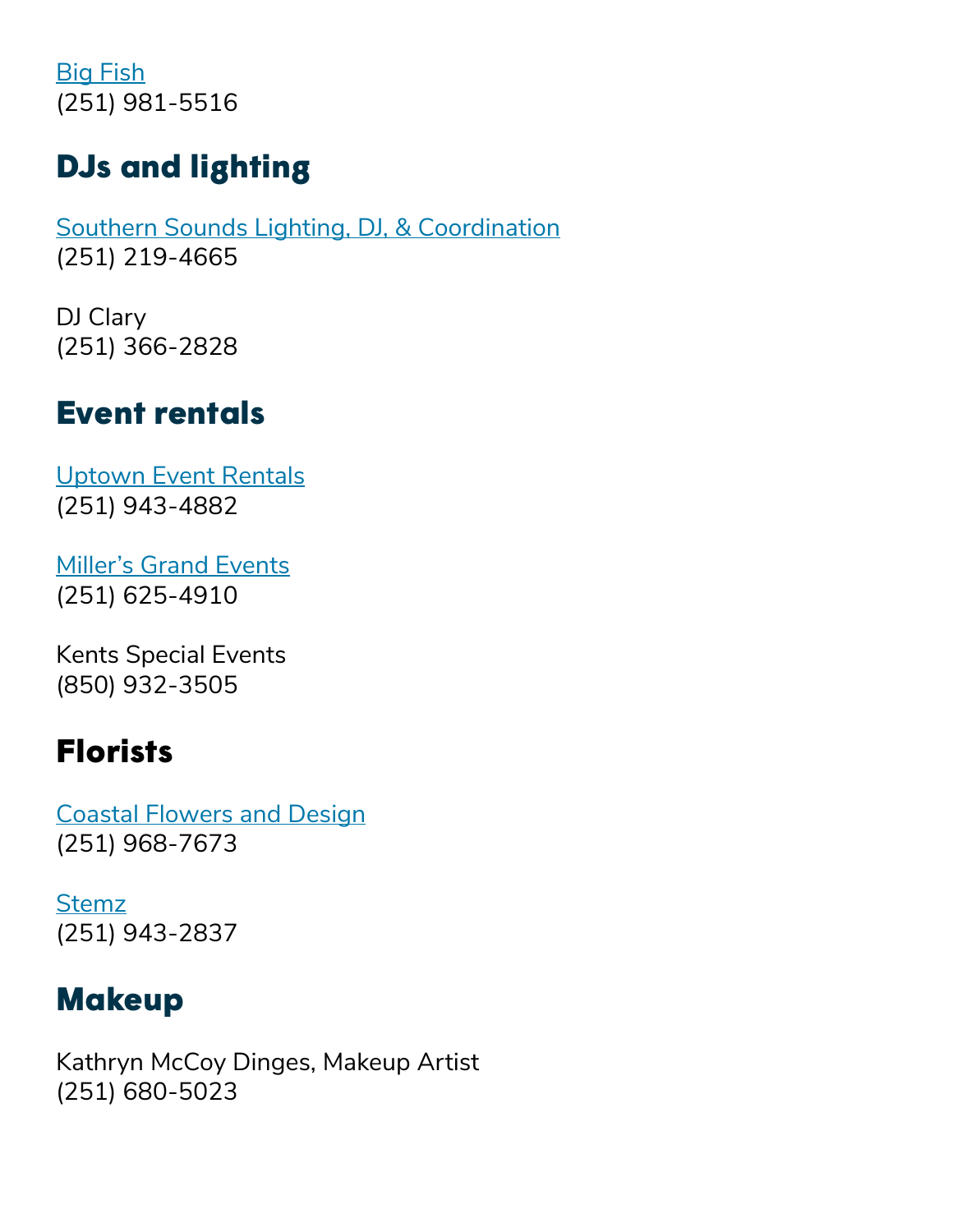[Big Fish](https://bigfishrestaurantbar.com/) (251) 981-5516

# DJs and lighting

[Southern Sounds Lighting, DJ, & Coordination](http://www.southernsounds.org/) (251) 219-4665

DJ Clary (251) 366-2828

#### Event rentals

[Uptown Event Rentals](https://www.uptowneventrentals.com/) (251) 943-4882

[Miller's Grand Events](http://millersgrandevents.com/) (251) 625-4910

Kents Special Events (850) 932-3505

#### Florists

[Coastal Flowers and Design](https://www.coastalflowersanddesign.com/) (251) 968-7673

[Stemz](http://www.stemzflowers.com/) (251) 943-2837

## Makeup

Kathryn McCoy Dinges, Makeup Artist (251) 680-5023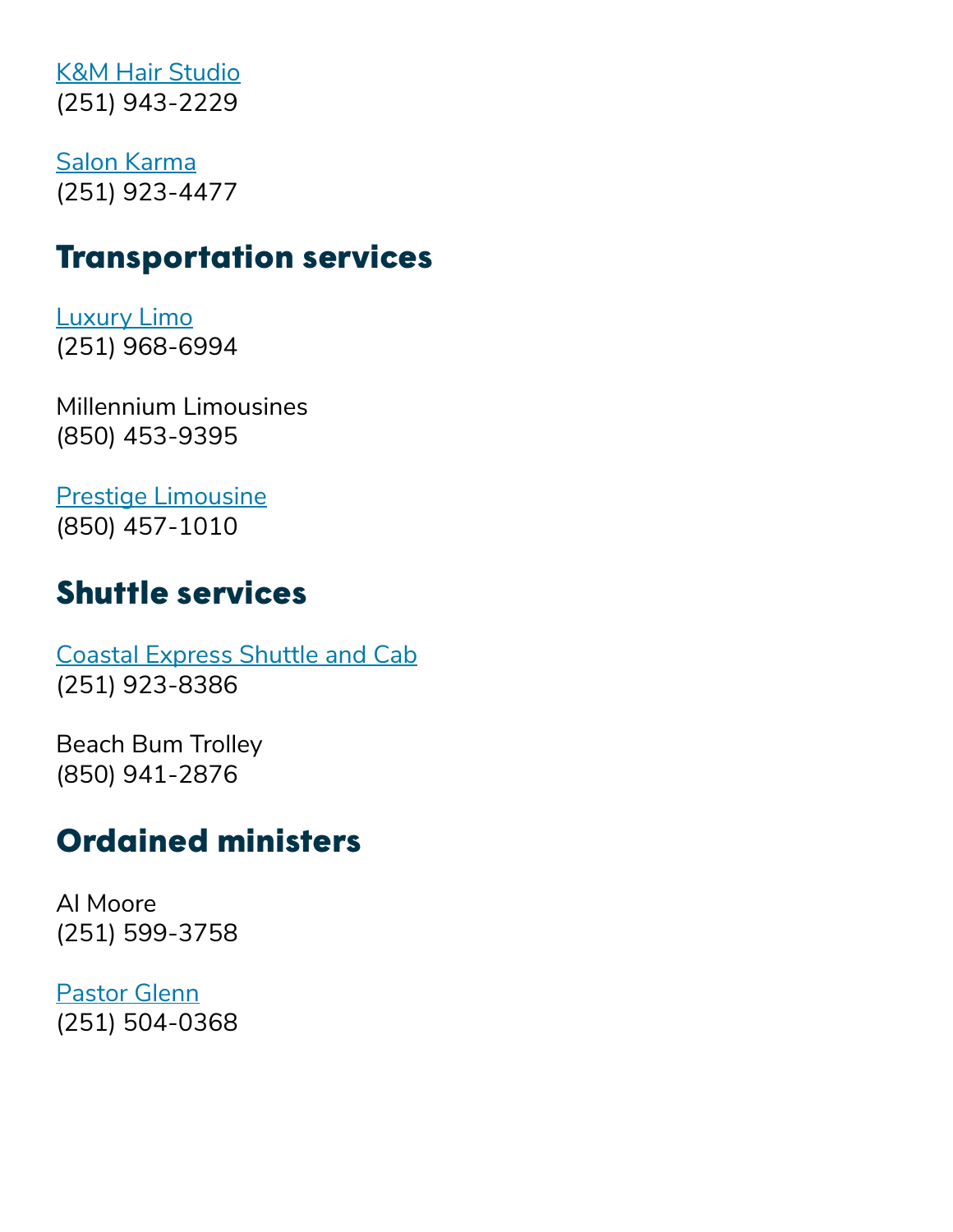[K&M Hair Studio](https://www.facebook.com/kmhairstudiogulfshores/) (251) 943-2229

[Salon Karma](https://www.facebook.com/salonkarma36542/) (251) 923-4477

## Transportation services

[Luxury Limo](https://luxurylimollc.com/index.html) (251) 968-6994

Millennium Limousines (850) 453-9395

[Prestige Limousine](http://www.limo1010.com/) (850) 457-1010

# Shuttle services

[Coastal Express Shuttle and Cab](https://www.coastalexpressshuttle.com/) (251) 923-8386

Beach Bum Trolley (850) 941-2876

## Ordained ministers

Al Moore (251) 599-3758

[Pastor Glenn](https://www.alabamabeachwedding.com/) (251) 504-0368